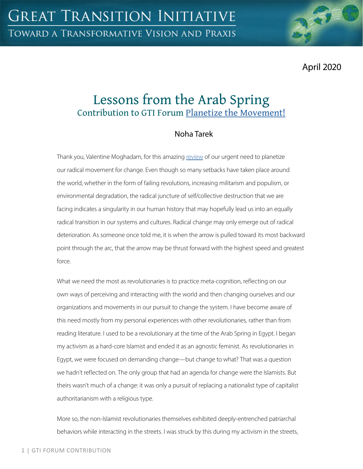April 2020

# Lessons from the Arab Spring Contribution to GTI Forum [Planetize the Movement!](https://greattransition.org/gti-forum/planetize-the-movement)

## Noha Tarek

Thank you, Valentine Moghadam, for this amazing [review](https://greattransition.org/gti-forum/planetize-movement-moghadam) of our urgent need to planetize our radical movement for change. Even though so many setbacks have taken place around the world, whether in the form of failing revolutions, increasing militarism and populism, or environmental degradation, the radical juncture of self/collective destruction that we are facing indicates a singularity in our human history that may hopefully lead us into an equally radical transition in our systems and cultures. Radical change may only emerge out of radical deterioration. As someone once told me, it is when the arrow is pulled toward its most backward point through the arc, that the arrow may be thrust forward with the highest speed and greatest force.

What we need the most as revolutionaries is to practice meta-cognition, reflecting on our own ways of perceiving and interacting with the world and then changing ourselves and our organizations and movements in our pursuit to change the system. I have become aware of this need mostly from my personal experiences with other revolutionaries, rather than from reading literature. I used to be a revolutionary at the time of the Arab Spring in Egypt. I began my activism as a hard-core Islamist and ended it as an agnostic feminist. As revolutionaries in Egypt, we were focused on demanding change—but change to what? That was a question we hadn't reflected on. The only group that had an agenda for change were the Islamists. But theirs wasn't much of a change: it was only a pursuit of replacing a nationalist type of capitalist authoritarianism with a religious type.

More so, the non-Islamist revolutionaries themselves exhibited deeply-entrenched patriarchal behaviors while interacting in the streets. I was struck by this during my activism in the streets,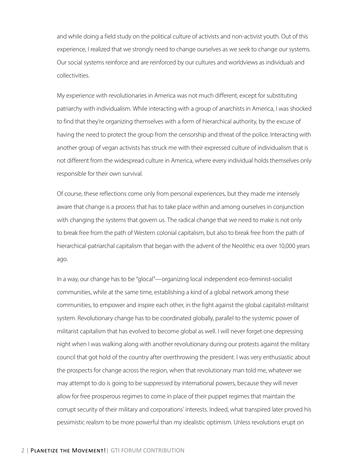and while doing a field study on the political culture of activists and non-activist youth. Out of this experience, I realized that we strongly need to change ourselves as we seek to change our systems. Our social systems reinforce and are reinforced by our cultures and worldviews as individuals and collectivities.

My experience with revolutionaries in America was not much different, except for substituting patriarchy with individualism. While interacting with a group of anarchists in America, I was shocked to find that they're organizing themselves with a form of hierarchical authority, by the excuse of having the need to protect the group from the censorship and threat of the police. Interacting with another group of vegan activists has struck me with their expressed culture of individualism that is not different from the widespread culture in America, where every individual holds themselves only responsible for their own survival.

Of course, these reflections come only from personal experiences, but they made me intensely aware that change is a process that has to take place within and among ourselves in conjunction with changing the systems that govern us. The radical change that we need to make is not only to break free from the path of Western colonial capitalism, but also to break free from the path of hierarchical-patriarchal capitalism that began with the advent of the Neolithic era over 10,000 years ago.

In a way, our change has to be "glocal"—organizing local independent eco-feminist-socialist communities, while at the same time, establishing a kind of a global network among these communities, to empower and inspire each other, in the fight against the global capitalist-militarist system. Revolutionary change has to be coordinated globally, parallel to the systemic power of militarist capitalism that has evolved to become global as well. I will never forget one depressing night when I was walking along with another revolutionary during our protests against the military council that got hold of the country after overthrowing the president. I was very enthusiastic about the prospects for change across the region, when that revolutionary man told me, whatever we may attempt to do is going to be suppressed by international powers, because they will never allow for free prosperous regimes to come in place of their puppet regimes that maintain the corrupt security of their military and corporations' interests. Indeed, what transpired later proved his pessimistic realism to be more powerful than my idealistic optimism. Unless revolutions erupt on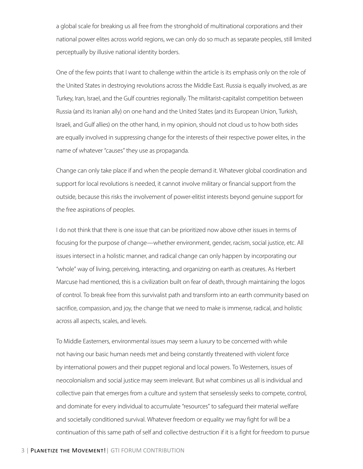a global scale for breaking us all free from the stronghold of multinational corporations and their national power elites across world regions, we can only do so much as separate peoples, still limited perceptually by illusive national identity borders.

One of the few points that I want to challenge within the article is its emphasis only on the role of the United States in destroying revolutions across the Middle East. Russia is equally involved, as are Turkey, Iran, Israel, and the Gulf countries regionally. The militarist-capitalist competition between Russia (and its Iranian ally) on one hand and the United States (and its European Union, Turkish, Israeli, and Gulf allies) on the other hand, in my opinion, should not cloud us to how both sides are equally involved in suppressing change for the interests of their respective power elites, in the name of whatever "causes" they use as propaganda.

Change can only take place if and when the people demand it. Whatever global coordination and support for local revolutions is needed, it cannot involve military or financial support from the outside, because this risks the involvement of power-elitist interests beyond genuine support for the free aspirations of peoples.

I do not think that there is one issue that can be prioritized now above other issues in terms of focusing for the purpose of change—whether environment, gender, racism, social justice, etc. All issues intersect in a holistic manner, and radical change can only happen by incorporating our "whole" way of living, perceiving, interacting, and organizing on earth as creatures. As Herbert Marcuse had mentioned, this is a civilization built on fear of death, through maintaining the logos of control. To break free from this survivalist path and transform into an earth community based on sacrifice, compassion, and joy, the change that we need to make is immense, radical, and holistic across all aspects, scales, and levels.

To Middle Easterners, environmental issues may seem a luxury to be concerned with while not having our basic human needs met and being constantly threatened with violent force by international powers and their puppet regional and local powers. To Westerners, issues of neocolonialism and social justice may seem irrelevant. But what combines us all is individual and collective pain that emerges from a culture and system that senselessly seeks to compete, control, and dominate for every individual to accumulate "resources" to safeguard their material welfare and societally conditioned survival. Whatever freedom or equality we may fight for will be a continuation of this same path of self and collective destruction if it is a fight for freedom to pursue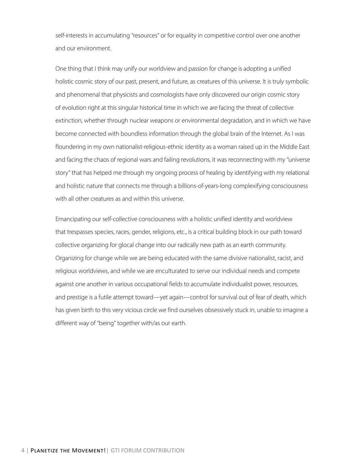self-interests in accumulating "resources" or for equality in competitive control over one another and our environment.

One thing that I think may unify our worldview and passion for change is adopting a unified holistic cosmic story of our past, present, and future, as creatures of this universe. It is truly symbolic and phenomenal that physicists and cosmologists have only discovered our origin cosmic story of evolution right at this singular historical time in which we are facing the threat of collective extinction, whether through nuclear weapons or environmental degradation, and in which we have become connected with boundless information through the global brain of the Internet. As I was floundering in my own nationalist-religious-ethnic identity as a woman raised up in the Middle East and facing the chaos of regional wars and failing revolutions, it was reconnecting with my "universe story" that has helped me through my ongoing process of healing by identifying with my relational and holistic nature that connects me through a billions-of-years-long complexifying consciousness with all other creatures as and within this universe.

Emancipating our self-collective consciousness with a holistic unified identity and worldview that trespasses species, races, gender, religions, etc., is a critical building block in our path toward collective organizing for glocal change into our radically new path as an earth community. Organizing for change while we are being educated with the same divisive nationalist, racist, and religious worldviews, and while we are enculturated to serve our individual needs and compete against one another in various occupational fields to accumulate individualist power, resources, and prestige is a futile attempt toward—yet again—control for survival out of fear of death, which has given birth to this very vicious circle we find ourselves obsessively stuck in, unable to imagine a different way of "being" together with/as our earth.